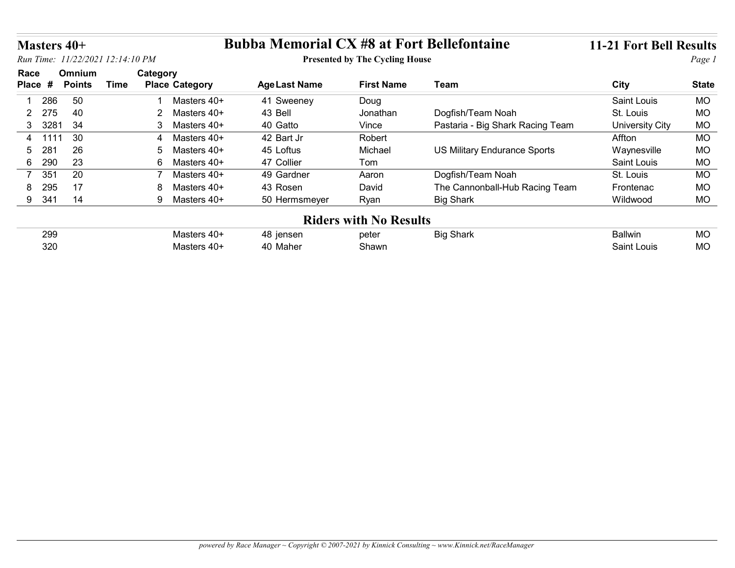| <b>Bubba Memorial CX #8 at Fort Bellefontaine</b><br>11-21 Fort Bell Results<br>Masters 40+                                                                               |              |
|---------------------------------------------------------------------------------------------------------------------------------------------------------------------------|--------------|
| Run Time: 11/22/2021 12:14:10 PM<br><b>Presented by The Cycling House</b>                                                                                                 | Page 1       |
| Race<br>Omnium<br>Category<br><b>Time</b><br><b>City</b><br>Place #<br><b>Points</b><br><b>Place Category</b><br><b>Age Last Name</b><br><b>First Name</b><br><b>Team</b> | <b>State</b> |
| 50<br>286<br>Saint Louis<br>Masters 40+<br>41 Sweeney<br>Doug                                                                                                             | MO           |
| 275<br>40<br>43 Bell<br>Dogfish/Team Noah<br>$\overline{2}$<br>Masters 40+<br>St. Louis<br>Jonathan<br>$\mathbf{2}^{\prime}$                                              | MO           |
| 34<br>3 3281<br>40 Gatto<br>Pastaria - Big Shark Racing Team<br>3<br>Masters 40+<br>Vince<br><b>University City</b>                                                       | MO           |
| 30<br>42 Bart Jr<br>1111<br>Masters 40+<br>Robert<br>Affton<br>4<br>4                                                                                                     | MO           |
| 26<br>45 Loftus<br>US Military Endurance Sports<br>28 <sup>1</sup><br>Michael<br>Waynesville<br>Masters 40+<br>5<br>.5                                                    | <b>MO</b>    |
| 23<br>47 Collier<br>290<br>Saint Louis<br>6<br>6<br>Masters 40+<br>Tom                                                                                                    | MO           |
| 351<br>20<br>Dogfish/Team Noah<br>Masters 40+<br>49 Gardner<br>7<br>$\overline{7}$<br>Aaron<br>St. Louis                                                                  | <b>MO</b>    |
| 295<br>17<br>43 Rosen<br>David<br>The Cannonball-Hub Racing Team<br>8<br>Masters 40+<br>Frontenac<br>8                                                                    | MO           |
| 14<br>9 341<br><b>Big Shark</b><br>9 Masters 40+<br>50 Hermsmeyer<br>Ryan<br>Wildwood                                                                                     | MO           |
|                                                                                                                                                                           |              |
| <b>Riders with No Results</b>                                                                                                                                             | MO           |
| 299<br>Masters 40+<br><b>Big Shark</b><br>Ballwin<br>48 jensen<br>peter                                                                                                   |              |

| 299 |                | nata. | <br>nan | .<br>Daliwii | $\sim$<br><b>IVIL</b> |
|-----|----------------|-------|---------|--------------|-----------------------|
|     |                | volo. | . .     |              |                       |
| 320 | . .<br>,,<br>. | Shawr |         | ouis<br>חומ  | $\sim$                |
|     | . וכ<br>. .    |       |         |              | טוע.                  |
|     |                |       |         |              |                       |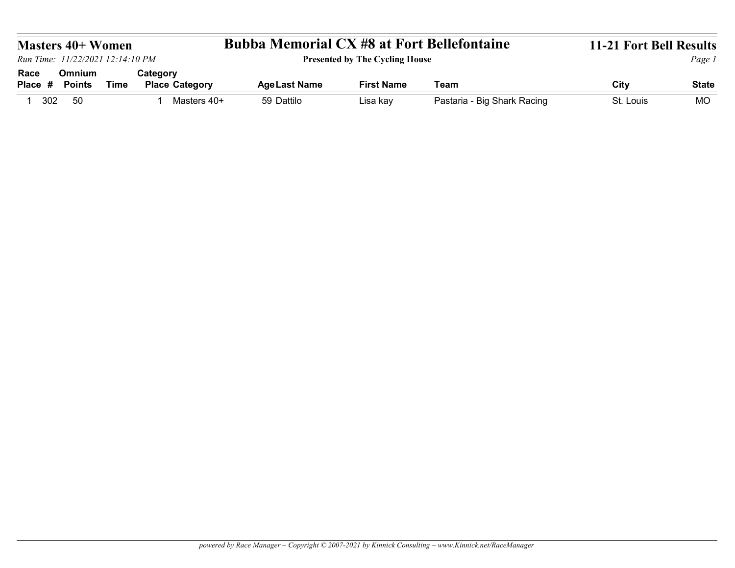| <b>Bubba Memorial CX #8 at Fort Bellefontaine</b><br><b>Presented by The Cycling House</b>                                                    |
|-----------------------------------------------------------------------------------------------------------------------------------------------|
|                                                                                                                                               |
|                                                                                                                                               |
|                                                                                                                                               |
|                                                                                                                                               |
|                                                                                                                                               |
|                                                                                                                                               |
|                                                                                                                                               |
|                                                                                                                                               |
|                                                                                                                                               |
|                                                                                                                                               |
| <b>11-21 Fort Bell Results</b><br><b>Masters 40+ Women</b><br>Run Time: 11/22/2021 12:14:10 PM<br>Page 1                                      |
|                                                                                                                                               |
|                                                                                                                                               |
| Omnium<br>Category<br>Race                                                                                                                    |
| <b>First Name</b><br>Team<br>City<br><b>Points</b><br><b>Time</b><br><b>Place Category</b><br><b>Age Last Name</b><br><b>State</b><br>Place # |
| 59 Dattilo<br>Pastaria - Big Shark Racing<br>1 302<br>50<br>Masters 40+<br>St. Louis<br><b>MO</b><br>Lisa kay<br>$\mathbf{1}$                 |
|                                                                                                                                               |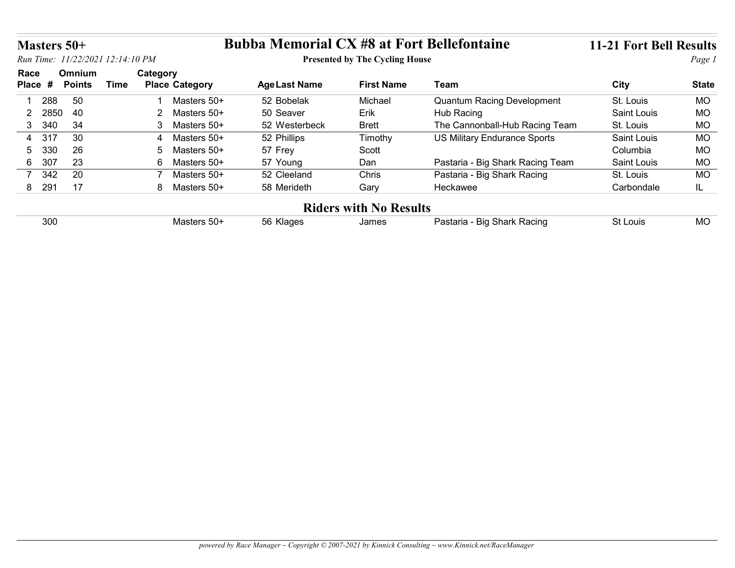|                       | Masters 50+   |                                  |                                         | <b>Bubba Memorial CX #8 at Fort Bellefontaine</b> |                                       |                                     | 11-21 Fort Bell Results |              |
|-----------------------|---------------|----------------------------------|-----------------------------------------|---------------------------------------------------|---------------------------------------|-------------------------------------|-------------------------|--------------|
|                       |               | Run Time: 11/22/2021 12:14:10 PM |                                         |                                                   | <b>Presented by The Cycling House</b> |                                     |                         | Page 1       |
| Race                  | Omnium        |                                  | Category                                |                                                   |                                       |                                     |                         |              |
| Place #               | <b>Points</b> | <b>Time</b>                      | <b>Place Category</b>                   | <b>Age Last Name</b>                              | <b>First Name</b>                     | Team                                | City                    | <b>State</b> |
| 288                   | 50            |                                  | 1 Masters 50+                           | 52 Bobelak                                        | Michael                               | <b>Quantum Racing Development</b>   | St. Louis               | <b>MO</b>    |
| 2850<br>$2^{\circ}$   | 40            |                                  | 2 Masters 50+                           | 50 Seaver                                         | Erik                                  | Hub Racing                          | Saint Louis             | <b>MO</b>    |
|                       | 34            |                                  | 3 Masters 50+                           | 52 Westerbeck                                     | <b>Brett</b>                          | The Cannonball-Hub Racing Team      | St. Louis               | <b>MO</b>    |
| 3 340                 |               |                                  |                                         | 52 Phillips                                       | Timothy                               | <b>US Military Endurance Sports</b> | Saint Louis             | <b>MO</b>    |
| 317<br>$\overline{4}$ | 30            |                                  | Masters 50+<br>$\boldsymbol{\varDelta}$ |                                                   |                                       |                                     |                         |              |
| 330<br>5              | 26            |                                  | Masters 50+<br>-5                       | 57 Frey                                           | Scott                                 |                                     | Columbia                | <b>MO</b>    |
| 6 307                 | 23            |                                  | 6 Masters 50+                           | 57 Young                                          | Dan                                   | Pastaria - Big Shark Racing Team    | Saint Louis             | <b>MO</b>    |
| 7 342                 | 20            |                                  | Masters 50+<br>$\overline{7}$           | 52 Cleeland                                       | Chris                                 | Pastaria - Big Shark Racing         | St. Louis               | <b>MO</b>    |
| 8 291                 | 17            |                                  | 8 Masters 50+                           | 58 Merideth                                       | Gary                                  | Heckawee                            | Carbondale              | IL.          |
|                       |               |                                  |                                         |                                                   | <b>Riders with No Results</b>         |                                     |                         |              |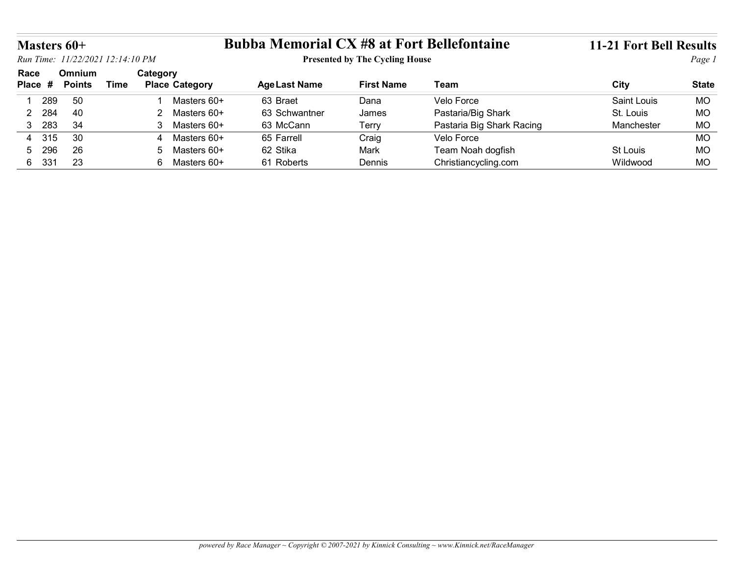| Masters 60+       | Run Time: 11/22/2021 12:14:10 PM |             |                                   | <b>Bubba Memorial CX #8 at Fort Bellefontaine</b> | <b>Presented by The Cycling House</b> |                                           | <b>11-21 Fort Bell Results</b> | Page 1                    |
|-------------------|----------------------------------|-------------|-----------------------------------|---------------------------------------------------|---------------------------------------|-------------------------------------------|--------------------------------|---------------------------|
| Race              | Omnium                           |             | Category                          |                                                   |                                       |                                           |                                |                           |
| Place #           | <b>Points</b>                    | <b>Time</b> | <b>Place Category</b>             | <b>Age Last Name</b>                              | <b>First Name</b>                     | <b>Team</b>                               | <b>City</b>                    |                           |
| 289               | 50                               |             | Masters 60+                       | 63 Braet                                          | Dana                                  | Velo Force                                | <b>Saint Louis</b>             | <b>MO</b>                 |
| 2 284             | 40                               |             | 2 Masters 60+                     | 63 Schwantner                                     | James                                 | Pastaria/Big Shark                        | St. Louis                      | <b>State</b><br><b>MO</b> |
| 3 283             | 34                               |             | 3 Masters 60+                     | 63 McCann                                         | Terry                                 | Pastaria Big Shark Racing                 | Manchester                     | <b>MO</b>                 |
| 315<br>4          | 30                               |             | Masters 60+<br>4                  | 65 Farrell                                        | Craig                                 | Velo Force                                |                                | <b>MO</b>                 |
| 296<br>5<br>6 331 | 26<br>23                         |             | Masters 60+<br>5<br>6 Masters 60+ | 62 Stika<br>61 Roberts                            | Mark<br>Dennis                        | Team Noah dogfish<br>Christiancycling.com | St Louis<br>Wildwood           | <b>MO</b><br><b>MO</b>    |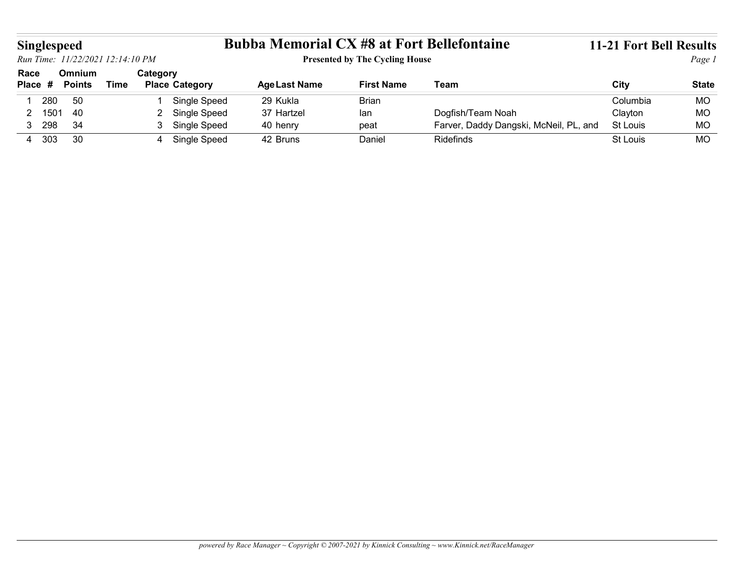|                    |      |                         |                                  |                |                       | <b>Bubba Memorial CX #8 at Fort Bellefontaine</b> |                                       |                                        | <b>11-21 Fort Bell Results</b> |              |
|--------------------|------|-------------------------|----------------------------------|----------------|-----------------------|---------------------------------------------------|---------------------------------------|----------------------------------------|--------------------------------|--------------|
| <b>Singlespeed</b> |      |                         | Run Time: 11/22/2021 12:14:10 PM |                |                       |                                                   | <b>Presented by The Cycling House</b> |                                        |                                | Page 1       |
| Race<br>Place #    |      | Omnium<br><b>Points</b> | <b>Time</b>                      | Category       | <b>Place Category</b> | <b>Age Last Name</b>                              | <b>First Name</b>                     | Team                                   | <b>City</b>                    | <b>State</b> |
| 280<br>-1          |      | 50                      |                                  |                | Single Speed          | 29 Kukla                                          | <b>Brian</b>                          |                                        | Columbia                       | <b>MO</b>    |
| $\overline{2}$     | 1501 | 40                      |                                  | $\overline{2}$ | Single Speed          | 37 Hartzel                                        | lan                                   | Dogfish/Team Noah                      | Clayton                        | MO           |
| 3 298              |      | 34                      |                                  |                | 3 Single Speed        | 40 henry                                          | peat                                  | Farver, Daddy Dangski, McNeil, PL, and | St Louis                       | <b>MO</b>    |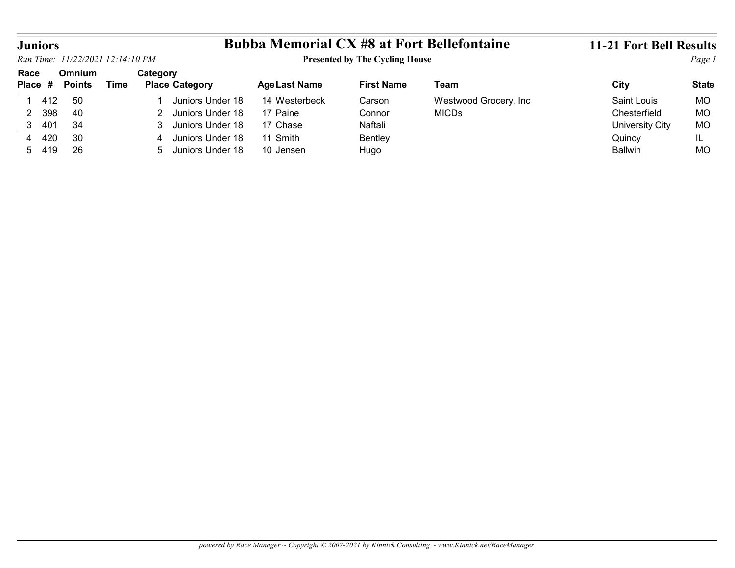|                                   |                         |                                  |                       |                      |                                       | <b>Bubba Memorial CX #8 at Fort Bellefontaine</b> | <b>11-21 Fort Bell Results</b> |                  |
|-----------------------------------|-------------------------|----------------------------------|-----------------------|----------------------|---------------------------------------|---------------------------------------------------|--------------------------------|------------------|
|                                   |                         | Run Time: 11/22/2021 12:14:10 PM |                       |                      | <b>Presented by The Cycling House</b> |                                                   |                                | Page 1           |
| <b>Juniors</b><br>Race<br>Place # | Omnium<br><b>Points</b> | Category<br><b>Time</b>          | <b>Place Category</b> | <b>Age Last Name</b> | <b>First Name</b>                     | <b>Team</b>                                       | <b>City</b>                    | <b>State</b>     |
| 412                               | 50                      |                                  | Juniors Under 18      | 14 Westerbeck        | Carson                                |                                                   | <b>Saint Louis</b>             | <b>MO</b>        |
| 398<br>$\overline{2}$             | 40                      | 2                                | Juniors Under 18      | 17 Paine             | Connor                                | Westwood Grocery, Inc<br><b>MICDs</b>             | Chesterfield                   | <b>MO</b>        |
| 3 401                             | 34                      | 3                                | Juniors Under 18      | 17 Chase             | Naftali                               |                                                   |                                | MO               |
|                                   | 30                      | 4                                | Juniors Under 18      | 11 Smith             |                                       |                                                   | University City                |                  |
| 4 4 20<br>5 419                   | 26                      | 5                                | Juniors Under 18      | 10 Jensen            | Bentley<br>Hugo                       |                                                   | Quincy<br><b>Ballwin</b>       | IL.<br><b>MO</b> |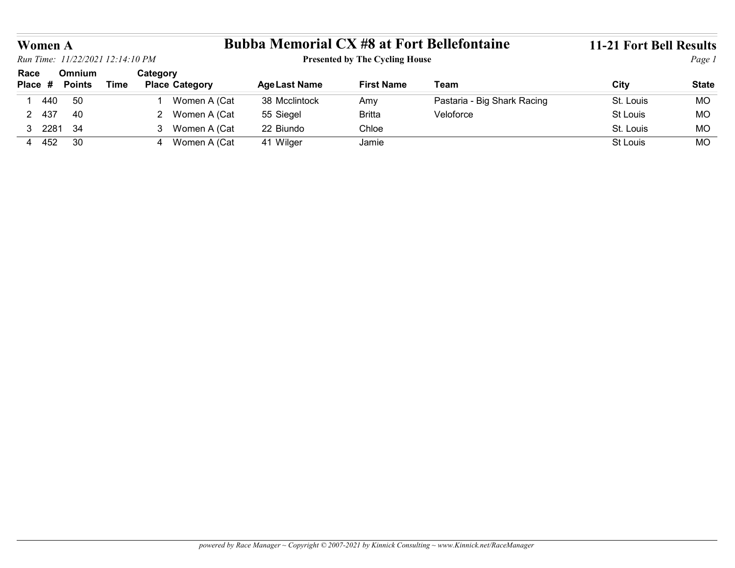| Women A<br>Run Time: 11/22/2021 12:14:10 PM |                         |             |          |                       | <b>Bubba Memorial CX #8 at Fort Bellefontaine</b> | <b>Presented by The Cycling House</b> |                             | <b>11-21 Fort Bell Results</b> | Page 1       |
|---------------------------------------------|-------------------------|-------------|----------|-----------------------|---------------------------------------------------|---------------------------------------|-----------------------------|--------------------------------|--------------|
| Race<br>Place #                             | Omnium<br><b>Points</b> | <b>Time</b> | Category | <b>Place Category</b> | <b>Age Last Name</b>                              | <b>First Name</b>                     | <b>Team</b>                 | <b>City</b>                    | <b>State</b> |
| 1 440                                       | 50                      |             |          | Women A (Cat          | 38 Mcclintock                                     | Amy                                   | Pastaria - Big Shark Racing | St. Louis                      | <b>MO</b>    |
| 2 437                                       | 40                      |             |          | 2 Women A (Cat        | 55 Siegel                                         | <b>Britta</b>                         | Veloforce                   | St Louis                       | MO           |
| 3 2281                                      | 34                      |             |          | 3 Women A (Cat        | 22 Biundo                                         | Chloe                                 |                             | St. Louis                      | <b>MO</b>    |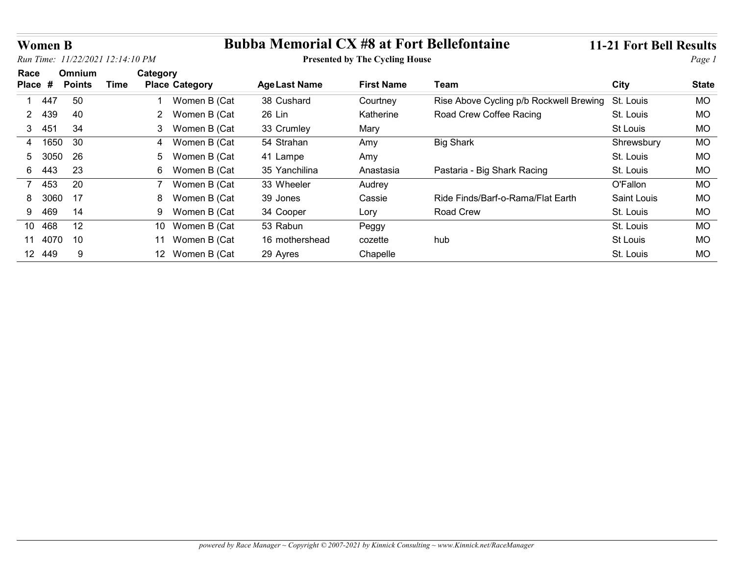| <b>Women B</b> |               |                                              |                       | <b>Bubba Memorial CX #8 at Fort Bellefontaine</b> |                                       |                                         | 11-21 Fort Bell Results |              |
|----------------|---------------|----------------------------------------------|-----------------------|---------------------------------------------------|---------------------------------------|-----------------------------------------|-------------------------|--------------|
| Race           | Omnium        | Run Time: 11/22/2021 12:14:10 PM<br>Category |                       |                                                   | <b>Presented by The Cycling House</b> |                                         |                         | Page 1       |
| Place #        | <b>Points</b> | <b>Time</b>                                  | <b>Place Category</b> | <b>Age Last Name</b>                              | <b>First Name</b>                     | <b>Team</b>                             | <b>City</b>             | <b>State</b> |
| 447            | 50            |                                              | Women B (Cat          | 38 Cushard                                        | Courtney                              | Rise Above Cycling p/b Rockwell Brewing | St. Louis               | <b>MO</b>    |
| 439<br>2       | 40            |                                              | 2 Women B (Cat        | 26 Lin                                            | Katherine                             | Road Crew Coffee Racing                 | St. Louis               | <b>MO</b>    |
| 451<br>3       | 34            |                                              | 3 Women B (Cat        | 33 Crumley                                        | Mary                                  |                                         | St Louis                | <b>MO</b>    |
| 4 1650         | 30            |                                              | Women B (Cat<br>4     | 54 Strahan                                        | Amy                                   | <b>Big Shark</b>                        | Shrewsbury              | <b>MO</b>    |
| 3050<br>5.     | 26            |                                              | Women B (Cat<br>5     | 41 Lampe                                          | Amy                                   |                                         | St. Louis               | <b>MO</b>    |
| 443<br>6.      | 23            |                                              | 6 Women B (Cat        | 35 Yanchilina                                     | Anastasia                             | Pastaria - Big Shark Racing             | St. Louis               | <b>MO</b>    |
| 453<br>7       | 20            |                                              | Women B (Cat<br>7     | 33 Wheeler                                        | Audrey                                |                                         | O'Fallon                | <b>MO</b>    |
|                | 17            |                                              | Women B (Cat<br>8     | 39 Jones                                          | Cassie                                | Ride Finds/Barf-o-Rama/Flat Earth       | Saint Louis             | <b>MO</b>    |
| 3060<br>8      | 14            |                                              | Women B (Cat<br>9     | 34 Cooper                                         | Lory                                  | Road Crew                               | St. Louis               | <b>MO</b>    |
| 469<br>9       |               |                                              | 10 Women B (Cat       | 53 Rabun                                          | Peggy                                 |                                         | St. Louis               | <b>MO</b>    |
| 10 468         | 12            |                                              |                       |                                                   |                                       |                                         |                         |              |
| 11 4070 10     |               |                                              | 11 Women B (Cat       | 16 mothershead                                    | cozette                               | hub                                     | St Louis                | <b>MO</b>    |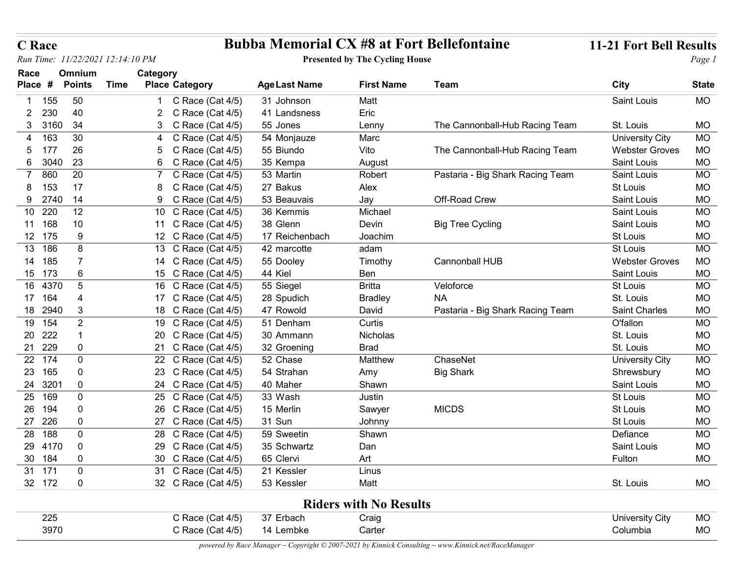| <b>C</b> Race                            |                                            | <b>Bubba Memorial CX #8 at Fort Bellefontaine</b> |                                       |                                  | 11-21 Fort Bell Results                         |                        |
|------------------------------------------|--------------------------------------------|---------------------------------------------------|---------------------------------------|----------------------------------|-------------------------------------------------|------------------------|
| Run Time: 11/22/2021 12:14:10 PM         |                                            |                                                   | <b>Presented by The Cycling House</b> |                                  |                                                 | Page 1                 |
| Omnium<br>Race                           | Category                                   |                                                   |                                       |                                  |                                                 |                        |
| Place #<br><b>Points</b><br><b>Time</b>  | <b>Place Category</b>                      | <b>Age Last Name</b>                              | <b>First Name</b>                     | Team                             | <b>City</b>                                     | <b>State</b>           |
| 50<br>155                                | C Race (Cat 4/5)                           | 31 Johnson                                        | Matt                                  |                                  | Saint Louis                                     | <b>MO</b>              |
| 40<br>230<br>2                           | C Race (Cat 4/5)                           | 41 Landsness                                      | Eric                                  |                                  |                                                 |                        |
| 34<br>3160<br>3                          | 3 C Race (Cat 4/5)                         | 55 Jones                                          | Lenny                                 | The Cannonball-Hub Racing Team   | St. Louis                                       | <b>MO</b>              |
| 30<br>163<br>26<br>177<br>5              | 4 C Race (Cat 4/5)<br>5 C Race (Cat 4/5)   | 54 Monjauze<br>55 Biundo                          | Marc<br>Vito                          | The Cannonball-Hub Racing Team   | <b>University City</b><br><b>Webster Groves</b> | <b>MO</b><br><b>MO</b> |
| 23<br>3040<br>6                          | C Race (Cat 4/5)<br>6                      | 35 Kempa                                          | August                                |                                  | Saint Louis                                     | <b>MO</b>              |
| 20<br>860                                | C Race (Cat 4/5)                           | 53 Martin                                         | Robert                                | Pastaria - Big Shark Racing Team | Saint Louis                                     | <b>MO</b>              |
| 17<br>153                                | C Race (Cat 4/5)                           | 27 Bakus                                          | Alex                                  |                                  | St Louis                                        | <b>MO</b>              |
| 9 2740<br>14                             | 9 C Race (Cat 4/5)                         | 53 Beauvais                                       | Jay                                   | Off-Road Crew                    | Saint Louis                                     | <b>MO</b>              |
| 220<br>12<br>10                          | 10 C Race (Cat 4/5)                        | 36 Kemmis                                         | Michael                               |                                  | Saint Louis                                     | <b>MO</b>              |
| 10<br>11 168                             | 11 C Race (Cat 4/5)                        | 38 Glenn                                          | Devin                                 | <b>Big Tree Cycling</b>          | Saint Louis                                     | <b>MO</b>              |
| 175<br>12<br>9                           | 12 C Race (Cat 4/5)                        | 17 Reichenbach                                    | Joachim                               |                                  | St Louis                                        | <b>MO</b>              |
| 13 186<br>8                              | 13 C Race (Cat 4/5)                        | 42 marcotte                                       | adam                                  |                                  | St Louis                                        | <b>MO</b>              |
| 14<br>185<br>7                           | 14 C Race (Cat 4/5)                        | 55 Dooley                                         | Timothy                               | Cannonball HUB                   | <b>Webster Groves</b>                           | <b>MO</b>              |
| 6<br>15 173<br>16 4370<br>$\overline{5}$ | 15 C Race (Cat 4/5)<br>16 C Race (Cat 4/5) | 44 Kiel<br>55 Siegel                              | Ben<br><b>Britta</b>                  | Veloforce                        | Saint Louis<br>St Louis                         | <b>MO</b><br><b>MO</b> |
| 17 164                                   | 17 C Race (Cat 4/5)                        | 28 Spudich                                        | <b>Bradley</b>                        | <b>NA</b>                        | St. Louis                                       | <b>MO</b>              |
| 18 2940<br>3                             | 18 C Race (Cat 4/5)                        | 47 Rowold                                         | David                                 | Pastaria - Big Shark Racing Team | <b>Saint Charles</b>                            | <b>MO</b>              |
| 19 154<br>$\overline{2}$                 | 19 C Race (Cat 4/5)                        | 51 Denham                                         | Curtis                                |                                  | O'fallon                                        | <b>MO</b>              |
| 20 222                                   | 20 C Race (Cat 4/5)                        | 30 Ammann                                         | Nicholas                              |                                  | St. Louis                                       | <b>MO</b>              |
| 21 229<br>0                              | 21 C Race (Cat 4/5)                        | 32 Groening                                       | <b>Brad</b>                           |                                  | St. Louis                                       | <b>MO</b>              |
| 22 174<br>$\mathbf 0$                    | 22 C Race (Cat 4/5)                        | 52 Chase                                          | Matthew                               | ChaseNet                         | <b>University City</b>                          | <b>MO</b>              |
| 23 165<br>0                              | 23 C Race (Cat 4/5)                        | 54 Strahan                                        | Amy                                   | <b>Big Shark</b>                 | Shrewsbury                                      | <b>MO</b>              |
| 24 3201<br>$\mathbf 0$                   | 24 C Race (Cat 4/5)                        | 40 Maher                                          | Shawn                                 |                                  | Saint Louis                                     | <b>MO</b>              |
| 25 169<br>$\mathbf 0$                    | 25 C Race (Cat 4/5)                        | 33 Wash                                           | Justin                                |                                  | St Louis                                        | <b>MO</b>              |
| 26 194<br>0<br>27 226<br>0               | 26 C Race (Cat 4/5)<br>27 C Race (Cat 4/5) | 15 Merlin<br>31 Sun                               | Sawyer<br>Johnny                      | <b>MICDS</b>                     | St Louis<br>St Louis                            | <b>MO</b><br><b>MO</b> |
| 28 188<br>0                              | 28 C Race (Cat 4/5)                        | 59 Sweetin                                        | Shawn                                 |                                  | Defiance                                        | <b>MO</b>              |
| $\boldsymbol{0}$<br>29 4170              | 29 C Race (Cat 4/5)                        | 35 Schwartz                                       | Dan                                   |                                  | Saint Louis                                     | <b>MO</b>              |
| 30 184<br>0                              | 30 C Race (Cat 4/5)                        | 65 Clervi                                         | Art                                   |                                  | Fulton                                          | <b>MO</b>              |
| 31 171<br>$\mathbf 0$                    | 31 C Race (Cat 4/5)                        | 21 Kessler                                        | Linus                                 |                                  |                                                 |                        |
| 32 172<br>0                              | 32 C Race (Cat 4/5)                        | 53 Kessler                                        | Matt                                  |                                  | St. Louis                                       | <b>MO</b>              |
|                                          |                                            |                                                   | <b>Riders with No Results</b>         |                                  |                                                 |                        |
|                                          | C Race (Cat 4/5)                           | 37 Erbach                                         | Craig                                 |                                  | <b>University City</b>                          | <b>MO</b><br><b>MO</b> |
| 225<br>3970                              | C Race (Cat 4/5)                           | 14 Lembke                                         | Carter                                |                                  | Columbia                                        |                        |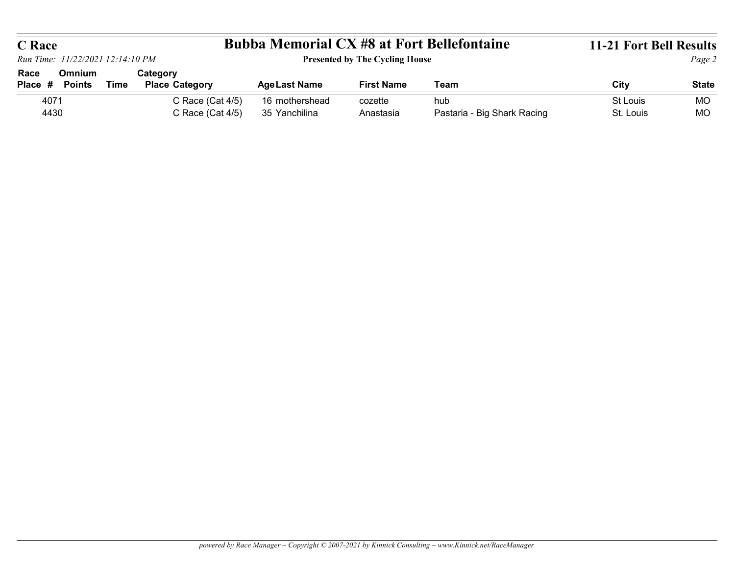|                       | Run Time: 11/22/2021 12:14:10 PM |             |                                   | <b>Bubba Memorial CX #8 at Fort Bellefontaine</b> | <b>Presented by The Cycling House</b> |                             | 11-21 Fort Bell Results | Page 2       |
|-----------------------|----------------------------------|-------------|-----------------------------------|---------------------------------------------------|---------------------------------------|-----------------------------|-------------------------|--------------|
| <b>C</b> Race<br>Race | Omnium<br>Place # Points         | <b>Time</b> | Category<br><b>Place Category</b> | <b>Age Last Name</b>                              | <b>First Name</b>                     | Team                        | City                    | <b>State</b> |
| 4071                  |                                  |             | C Race (Cat 4/5)                  | 16 mothershead                                    | cozette                               | hub                         | St Louis                | MO           |
| 4430                  |                                  |             | C Race (Cat 4/5)                  | 35 Yanchilina                                     | Anastasia                             | Pastaria - Big Shark Racing | St. Louis               | MO           |
|                       |                                  |             |                                   |                                                   |                                       |                             |                         |              |
|                       |                                  |             |                                   |                                                   |                                       |                             |                         |              |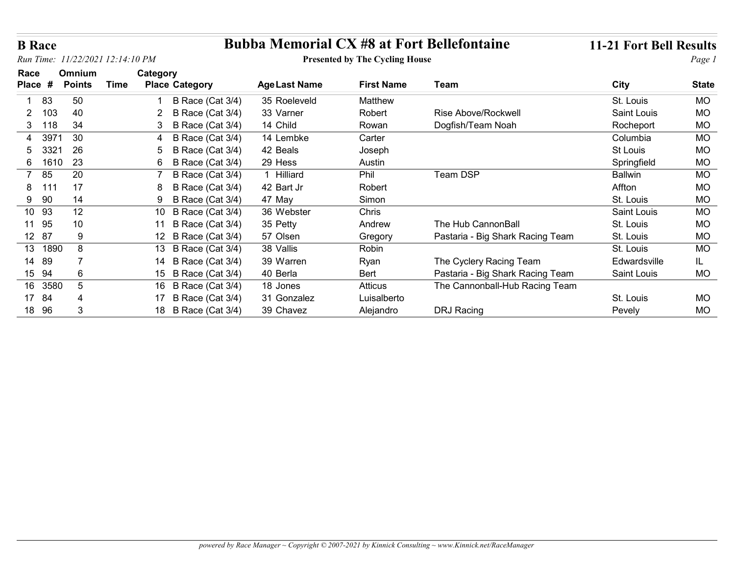| <b>B</b> Race                    |                                |             |                                   |                      |                                       | <b>Bubba Memorial CX #8 at Fort Bellefontaine</b> | <b>11-21 Fort Bell Results</b> |              |
|----------------------------------|--------------------------------|-------------|-----------------------------------|----------------------|---------------------------------------|---------------------------------------------------|--------------------------------|--------------|
| Run Time: 11/22/2021 12:14:10 PM |                                |             |                                   |                      | <b>Presented by The Cycling House</b> |                                                   |                                | Page 1       |
| Race<br>Place #                  | <b>Omnium</b><br><b>Points</b> | <b>Time</b> | Category<br><b>Place Category</b> | <b>Age Last Name</b> | <b>First Name</b>                     | Team                                              | <b>City</b>                    | <b>State</b> |
| 83                               | 50                             |             | B Race (Cat 3/4)                  | 35 Roeleveld         | Matthew                               |                                                   | St. Louis                      | <b>MO</b>    |
| 103<br>2                         | 40                             |             | B Race (Cat 3/4)                  | 33 Varner            | Robert                                | Rise Above/Rockwell                               | Saint Louis                    | <b>MO</b>    |
| 118<br>3                         | 34                             |             | B Race (Cat 3/4)                  | 14 Child             | Rowan                                 | Dogfish/Team Noah                                 | Rocheport                      | <b>MO</b>    |
| 3971<br>4                        | 30                             |             | B Race (Cat 3/4)                  | 14 Lembke            | Carter                                |                                                   | Columbia                       | <b>MO</b>    |
| 3321<br>5                        | 26                             |             | B Race (Cat 3/4)<br>5             | 42 Beals             | Joseph                                |                                                   | St Louis                       | <b>MO</b>    |
| 1610<br>6                        | 23                             |             | 6<br>B Race (Cat 3/4)             | 29 Hess              | Austin                                |                                                   | Springfield                    | <b>MO</b>    |
| 85<br>$\overline{7}$             | 20                             |             | B Race (Cat 3/4)                  | 1 Hilliard           | Phil                                  | Team DSP                                          | <b>Ballwin</b>                 | <b>MO</b>    |
| 8<br>111                         | 17                             |             | B Race (Cat 3/4)                  | 42 Bart Jr           | Robert                                |                                                   | Affton                         | <b>MO</b>    |
| 9 90                             | 14                             |             | <b>B Race (Cat 3/4)</b><br>9      | 47 May               | Simon                                 |                                                   | St. Louis                      | <b>MO</b>    |
| 10 93                            | 12                             |             | B Race (Cat 3/4)<br>10            | 36 Webster           | Chris                                 |                                                   | Saint Louis                    | <b>MO</b>    |
| 11 95                            | 10                             |             | 11 B Race (Cat 3/4)               | 35 Petty             | Andrew                                | The Hub CannonBall                                | St. Louis                      | <b>MO</b>    |
| 12 87                            | 9                              |             | 12 B Race (Cat 3/4)               | 57 Olsen             | Gregory                               | Pastaria - Big Shark Racing Team                  | St. Louis                      | <b>MO</b>    |
| 13 1890                          | 8                              |             | 13 B Race (Cat 3/4)               | 38 Vallis            | Robin                                 |                                                   | St. Louis                      | <b>MO</b>    |
| 14 89                            | $\overline{7}$                 |             | 14 B Race (Cat 3/4)               | 39 Warren            | Ryan                                  | The Cyclery Racing Team                           | Edwardsville                   | IL.          |
| 15 94                            | 6                              |             | 15 B Race (Cat 3/4)               | 40 Berla             | Bert                                  | Pastaria - Big Shark Racing Team                  | Saint Louis                    | MO           |
| 16 3580                          | $5\phantom{.0}$                |             | 16 B Race (Cat 3/4)               | 18 Jones             | Atticus                               | The Cannonball-Hub Racing Team                    |                                |              |
| 17 84                            |                                |             | 17 B Race (Cat 3/4)               | 31 Gonzalez          | Luisalberto                           |                                                   | St. Louis                      | MO           |
| 18 96                            | 3                              |             | 18 B Race (Cat 3/4)               | 39 Chavez            | Alejandro                             | DRJ Racing                                        | Pevely                         | MO           |